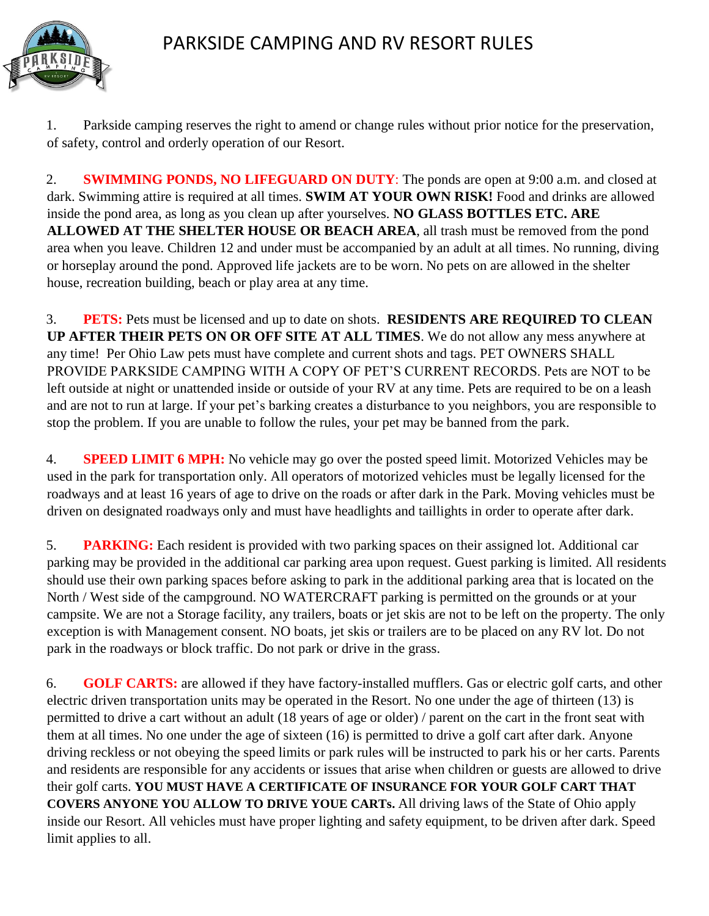

1. Parkside camping reserves the right to amend or change rules without prior notice for the preservation, of safety, control and orderly operation of our Resort.

2. **SWIMMING PONDS, NO LIFEGUARD ON DUTY**: The ponds are open at 9:00 a.m. and closed at dark. Swimming attire is required at all times. **SWIM AT YOUR OWN RISK!** Food and drinks are allowed inside the pond area, as long as you clean up after yourselves. **NO GLASS BOTTLES ETC. ARE ALLOWED AT THE SHELTER HOUSE OR BEACH AREA**, all trash must be removed from the pond area when you leave. Children 12 and under must be accompanied by an adult at all times. No running, diving or horseplay around the pond. Approved life jackets are to be worn. No pets on are allowed in the shelter house, recreation building, beach or play area at any time.

3. **PETS:** Pets must be licensed and up to date on shots. **RESIDENTS ARE REQUIRED TO CLEAN UP AFTER THEIR PETS ON OR OFF SITE AT ALL TIMES**. We do not allow any mess anywhere at any time! Per Ohio Law pets must have complete and current shots and tags. PET OWNERS SHALL PROVIDE PARKSIDE CAMPING WITH A COPY OF PET'S CURRENT RECORDS. Pets are NOT to be left outside at night or unattended inside or outside of your RV at any time. Pets are required to be on a leash and are not to run at large. If your pet's barking creates a disturbance to you neighbors, you are responsible to stop the problem. If you are unable to follow the rules, your pet may be banned from the park.

4. **SPEED LIMIT 6 MPH:** No vehicle may go over the posted speed limit. Motorized Vehicles may be used in the park for transportation only. All operators of motorized vehicles must be legally licensed for the roadways and at least 16 years of age to drive on the roads or after dark in the Park. Moving vehicles must be driven on designated roadways only and must have headlights and taillights in order to operate after dark.

5. **PARKING:** Each resident is provided with two parking spaces on their assigned lot. Additional car parking may be provided in the additional car parking area upon request. Guest parking is limited. All residents should use their own parking spaces before asking to park in the additional parking area that is located on the North / West side of the campground. NO WATERCRAFT parking is permitted on the grounds or at your campsite. We are not a Storage facility, any trailers, boats or jet skis are not to be left on the property. The only exception is with Management consent. NO boats, jet skis or trailers are to be placed on any RV lot. Do not park in the roadways or block traffic. Do not park or drive in the grass.

6. **GOLF CARTS:** are allowed if they have factory-installed mufflers. Gas or electric golf carts, and other electric driven transportation units may be operated in the Resort. No one under the age of thirteen (13) is permitted to drive a cart without an adult (18 years of age or older) / parent on the cart in the front seat with them at all times. No one under the age of sixteen (16) is permitted to drive a golf cart after dark. Anyone driving reckless or not obeying the speed limits or park rules will be instructed to park his or her carts. Parents and residents are responsible for any accidents or issues that arise when children or guests are allowed to drive their golf carts. **YOU MUST HAVE A CERTIFICATE OF INSURANCE FOR YOUR GOLF CART THAT COVERS ANYONE YOU ALLOW TO DRIVE YOUE CARTs.** All driving laws of the State of Ohio apply inside our Resort. All vehicles must have proper lighting and safety equipment, to be driven after dark. Speed limit applies to all.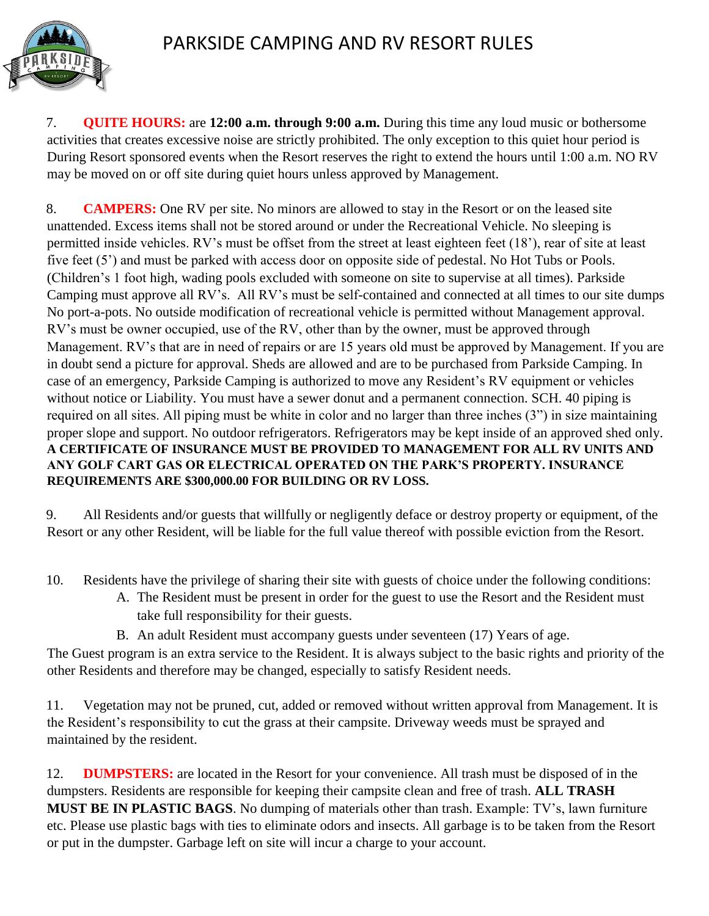

7. **QUITE HOURS:** are **12:00 a.m. through 9:00 a.m.** During this time any loud music or bothersome activities that creates excessive noise are strictly prohibited. The only exception to this quiet hour period is During Resort sponsored events when the Resort reserves the right to extend the hours until 1:00 a.m. NO RV may be moved on or off site during quiet hours unless approved by Management.

8. **CAMPERS:** One RV per site. No minors are allowed to stay in the Resort or on the leased site unattended. Excess items shall not be stored around or under the Recreational Vehicle. No sleeping is permitted inside vehicles. RV's must be offset from the street at least eighteen feet (18'), rear of site at least five feet (5') and must be parked with access door on opposite side of pedestal. No Hot Tubs or Pools. (Children's 1 foot high, wading pools excluded with someone on site to supervise at all times). Parkside Camping must approve all RV's. All RV's must be self-contained and connected at all times to our site dumps No port-a-pots. No outside modification of recreational vehicle is permitted without Management approval. RV's must be owner occupied, use of the RV, other than by the owner, must be approved through Management. RV's that are in need of repairs or are 15 years old must be approved by Management. If you are in doubt send a picture for approval. Sheds are allowed and are to be purchased from Parkside Camping. In case of an emergency, Parkside Camping is authorized to move any Resident's RV equipment or vehicles without notice or Liability. You must have a sewer donut and a permanent connection. SCH. 40 piping is required on all sites. All piping must be white in color and no larger than three inches (3") in size maintaining proper slope and support. No outdoor refrigerators. Refrigerators may be kept inside of an approved shed only. **A CERTIFICATE OF INSURANCE MUST BE PROVIDED TO MANAGEMENT FOR ALL RV UNITS AND ANY GOLF CART GAS OR ELECTRICAL OPERATED ON THE PARK'S PROPERTY. INSURANCE REQUIREMENTS ARE \$300,000.00 FOR BUILDING OR RV LOSS.**

9. All Residents and/or guests that willfully or negligently deface or destroy property or equipment, of the Resort or any other Resident, will be liable for the full value thereof with possible eviction from the Resort.

10. Residents have the privilege of sharing their site with guests of choice under the following conditions:

- A. The Resident must be present in order for the guest to use the Resort and the Resident must take full responsibility for their guests.
- B. An adult Resident must accompany guests under seventeen (17) Years of age.

The Guest program is an extra service to the Resident. It is always subject to the basic rights and priority of the other Residents and therefore may be changed, especially to satisfy Resident needs.

11. Vegetation may not be pruned, cut, added or removed without written approval from Management. It is the Resident's responsibility to cut the grass at their campsite. Driveway weeds must be sprayed and maintained by the resident.

12. **DUMPSTERS:** are located in the Resort for your convenience. All trash must be disposed of in the dumpsters. Residents are responsible for keeping their campsite clean and free of trash. **ALL TRASH MUST BE IN PLASTIC BAGS**. No dumping of materials other than trash. Example: TV's, lawn furniture etc. Please use plastic bags with ties to eliminate odors and insects. All garbage is to be taken from the Resort or put in the dumpster. Garbage left on site will incur a charge to your account.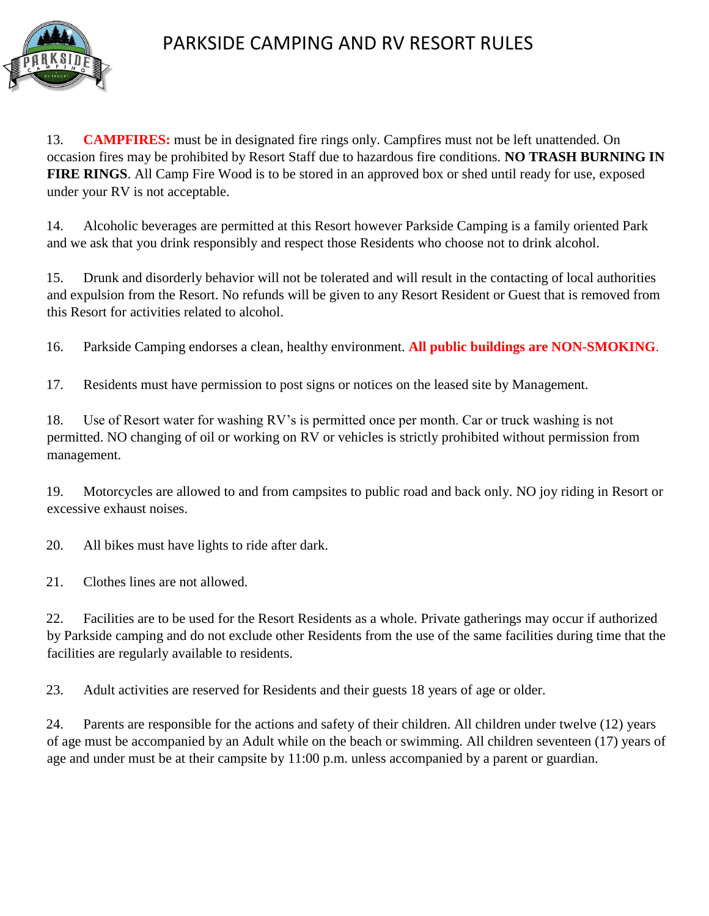

## PARKSIDE CAMPING AND RV RESORT RULES

13. **CAMPFIRES:** must be in designated fire rings only. Campfires must not be left unattended. On occasion fires may be prohibited by Resort Staff due to hazardous fire conditions. **NO TRASH BURNING IN FIRE RINGS**. All Camp Fire Wood is to be stored in an approved box or shed until ready for use, exposed under your RV is not acceptable.

14. Alcoholic beverages are permitted at this Resort however Parkside Camping is a family oriented Park and we ask that you drink responsibly and respect those Residents who choose not to drink alcohol.

15. Drunk and disorderly behavior will not be tolerated and will result in the contacting of local authorities and expulsion from the Resort. No refunds will be given to any Resort Resident or Guest that is removed from this Resort for activities related to alcohol.

16. Parkside Camping endorses a clean, healthy environment. **All public buildings are NON-SMOKING**.

17. Residents must have permission to post signs or notices on the leased site by Management.

18. Use of Resort water for washing RV's is permitted once per month. Car or truck washing is not permitted. NO changing of oil or working on RV or vehicles is strictly prohibited without permission from management.

19. Motorcycles are allowed to and from campsites to public road and back only. NO joy riding in Resort or excessive exhaust noises.

20. All bikes must have lights to ride after dark.

21. Clothes lines are not allowed.

22. Facilities are to be used for the Resort Residents as a whole. Private gatherings may occur if authorized by Parkside camping and do not exclude other Residents from the use of the same facilities during time that the facilities are regularly available to residents.

23. Adult activities are reserved for Residents and their guests 18 years of age or older.

24. Parents are responsible for the actions and safety of their children. All children under twelve (12) years of age must be accompanied by an Adult while on the beach or swimming. All children seventeen (17) years of age and under must be at their campsite by 11:00 p.m. unless accompanied by a parent or guardian.